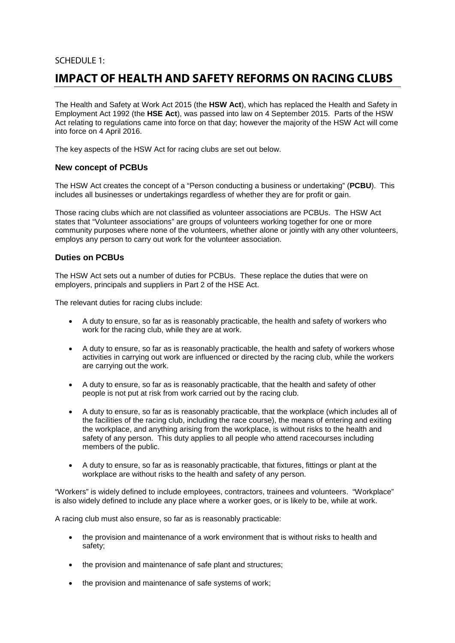# SCHEDULE 1:

# **IMPACT OF HEALTH AND SAFETY REFORMS ON RACING CLUBS**

The Health and Safety at Work Act 2015 (the **HSW Act**), which has replaced the Health and Safety in Employment Act 1992 (the **HSE Act**), was passed into law on 4 September 2015. Parts of the HSW Act relating to regulations came into force on that day; however the majority of the HSW Act will come into force on 4 April 2016.

The key aspects of the HSW Act for racing clubs are set out below.

# **New concept of PCBUs**

The HSW Act creates the concept of a "Person conducting a business or undertaking" (**PCBU**). This includes all businesses or undertakings regardless of whether they are for profit or gain.

Those racing clubs which are not classified as volunteer associations are PCBUs. The HSW Act states that "Volunteer associations" are groups of volunteers working together for one or more community purposes where none of the volunteers, whether alone or jointly with any other volunteers, employs any person to carry out work for the volunteer association.

# **Duties on PCBUs**

The HSW Act sets out a number of duties for PCBUs. These replace the duties that were on employers, principals and suppliers in Part 2 of the HSE Act.

The relevant duties for racing clubs include:

- A duty to ensure, so far as is reasonably practicable, the health and safety of workers who work for the racing club, while they are at work.
- A duty to ensure, so far as is reasonably practicable, the health and safety of workers whose activities in carrying out work are influenced or directed by the racing club, while the workers are carrying out the work.
- A duty to ensure, so far as is reasonably practicable, that the health and safety of other people is not put at risk from work carried out by the racing club.
- A duty to ensure, so far as is reasonably practicable, that the workplace (which includes all of the facilities of the racing club, including the race course), the means of entering and exiting the workplace, and anything arising from the workplace, is without risks to the health and safety of any person. This duty applies to all people who attend racecourses including members of the public.
- A duty to ensure, so far as is reasonably practicable, that fixtures, fittings or plant at the workplace are without risks to the health and safety of any person.

"Workers" is widely defined to include employees, contractors, trainees and volunteers. "Workplace" is also widely defined to include any place where a worker goes, or is likely to be, while at work.

A racing club must also ensure, so far as is reasonably practicable:

- the provision and maintenance of a work environment that is without risks to health and safety;
- the provision and maintenance of safe plant and structures;
- the provision and maintenance of safe systems of work;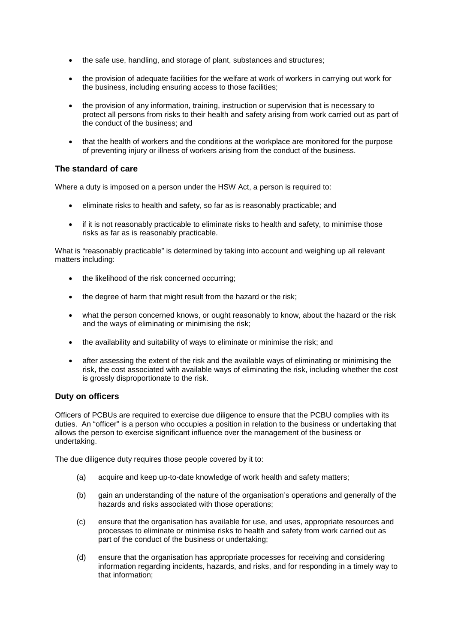- the safe use, handling, and storage of plant, substances and structures;
- the provision of adequate facilities for the welfare at work of workers in carrying out work for the business, including ensuring access to those facilities;
- the provision of any information, training, instruction or supervision that is necessary to protect all persons from risks to their health and safety arising from work carried out as part of the conduct of the business; and
- that the health of workers and the conditions at the workplace are monitored for the purpose of preventing injury or illness of workers arising from the conduct of the business.

### **The standard of care**

Where a duty is imposed on a person under the HSW Act, a person is required to:

- eliminate risks to health and safety, so far as is reasonably practicable; and
- if it is not reasonably practicable to eliminate risks to health and safety, to minimise those risks as far as is reasonably practicable.

What is "reasonably practicable" is determined by taking into account and weighing up all relevant matters including:

- the likelihood of the risk concerned occurring;
- the degree of harm that might result from the hazard or the risk;
- what the person concerned knows, or ought reasonably to know, about the hazard or the risk and the ways of eliminating or minimising the risk;
- the availability and suitability of ways to eliminate or minimise the risk; and
- after assessing the extent of the risk and the available ways of eliminating or minimising the risk, the cost associated with available ways of eliminating the risk, including whether the cost is grossly disproportionate to the risk.

### **Duty on officers**

Officers of PCBUs are required to exercise due diligence to ensure that the PCBU complies with its duties. An "officer" is a person who occupies a position in relation to the business or undertaking that allows the person to exercise significant influence over the management of the business or undertaking.

The due diligence duty requires those people covered by it to:

- (a) acquire and keep up-to-date knowledge of work health and safety matters;
- (b) gain an understanding of the nature of the organisation's operations and generally of the hazards and risks associated with those operations;
- (c) ensure that the organisation has available for use, and uses, appropriate resources and processes to eliminate or minimise risks to health and safety from work carried out as part of the conduct of the business or undertaking;
- (d) ensure that the organisation has appropriate processes for receiving and considering information regarding incidents, hazards, and risks, and for responding in a timely way to that information;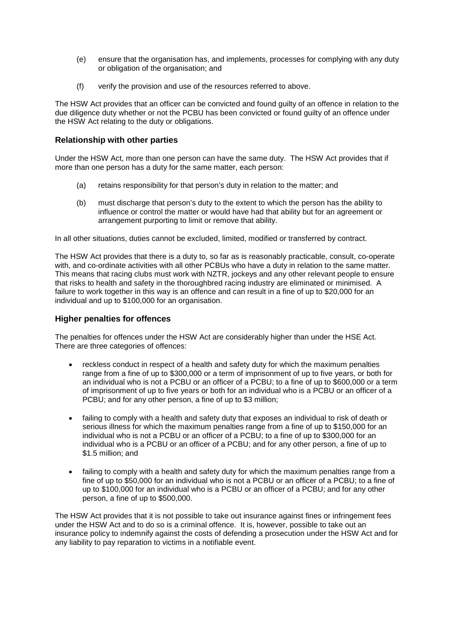- (e) ensure that the organisation has, and implements, processes for complying with any duty or obligation of the organisation; and
- (f) verify the provision and use of the resources referred to above.

The HSW Act provides that an officer can be convicted and found guilty of an offence in relation to the due diligence duty whether or not the PCBU has been convicted or found guilty of an offence under the HSW Act relating to the duty or obligations.

# **Relationship with other parties**

Under the HSW Act, more than one person can have the same duty. The HSW Act provides that if more than one person has a duty for the same matter, each person:

- (a) retains responsibility for that person's duty in relation to the matter; and
- (b) must discharge that person's duty to the extent to which the person has the ability to influence or control the matter or would have had that ability but for an agreement or arrangement purporting to limit or remove that ability.

In all other situations, duties cannot be excluded, limited, modified or transferred by contract.

The HSW Act provides that there is a duty to, so far as is reasonably practicable, consult, co-operate with, and co-ordinate activities with all other PCBUs who have a duty in relation to the same matter. This means that racing clubs must work with NZTR, jockeys and any other relevant people to ensure that risks to health and safety in the thoroughbred racing industry are eliminated or minimised. A failure to work together in this way is an offence and can result in a fine of up to \$20,000 for an individual and up to \$100,000 for an organisation.

### **Higher penalties for offences**

The penalties for offences under the HSW Act are considerably higher than under the HSE Act. There are three categories of offences:

- reckless conduct in respect of a health and safety duty for which the maximum penalties range from a fine of up to \$300,000 or a term of imprisonment of up to five years, or both for an individual who is not a PCBU or an officer of a PCBU; to a fine of up to \$600,000 or a term of imprisonment of up to five years or both for an individual who is a PCBU or an officer of a PCBU; and for any other person, a fine of up to \$3 million;
- failing to comply with a health and safety duty that exposes an individual to risk of death or serious illness for which the maximum penalties range from a fine of up to \$150,000 for an individual who is not a PCBU or an officer of a PCBU; to a fine of up to \$300,000 for an individual who is a PCBU or an officer of a PCBU; and for any other person, a fine of up to \$1.5 million; and
- failing to comply with a health and safety duty for which the maximum penalties range from a fine of up to \$50,000 for an individual who is not a PCBU or an officer of a PCBU; to a fine of up to \$100,000 for an individual who is a PCBU or an officer of a PCBU; and for any other person, a fine of up to \$500,000.

The HSW Act provides that it is not possible to take out insurance against fines or infringement fees under the HSW Act and to do so is a criminal offence. It is, however, possible to take out an insurance policy to indemnify against the costs of defending a prosecution under the HSW Act and for any liability to pay reparation to victims in a notifiable event.